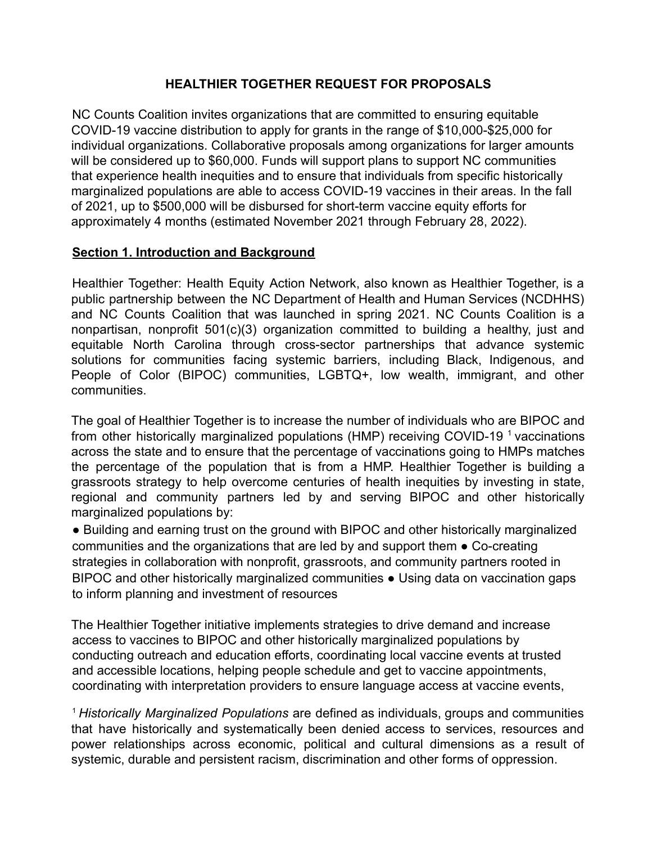## **HEALTHIER TOGETHER REQUEST FOR PROPOSALS**

NC Counts Coalition invites organizations that are committed to ensuring equitable COVID-19 vaccine distribution to apply for grants in the range of \$10,000-\$25,000 for individual organizations. Collaborative proposals among organizations for larger amounts will be considered up to \$60,000. Funds will support plans to support NC communities that experience health inequities and to ensure that individuals from specific historically marginalized populations are able to access COVID-19 vaccines in their areas. In the fall of 2021, up to \$500,000 will be disbursed for short-term vaccine equity efforts for approximately 4 months (estimated November 2021 through February 28, 2022).

### **Section 1. Introduction and Background**

Healthier Together: Health Equity Action Network, also known as Healthier Together, is a public partnership between the NC Department of Health and Human Services (NCDHHS) and NC Counts Coalition that was launched in spring 2021. NC Counts Coalition is a nonpartisan, nonprofit 501(c)(3) organization committed to building a healthy, just and equitable North Carolina through cross-sector partnerships that advance systemic solutions for communities facing systemic barriers, including Black, Indigenous, and People of Color (BIPOC) communities, LGBTQ+, low wealth, immigrant, and other communities.

The goal of Healthier Together is to increase the number of individuals who are BIPOC and from other historically marginalized populations (HMP) receiving COVID-19<sup>1</sup> vaccinations across the state and to ensure that the percentage of vaccinations going to HMPs matches the percentage of the population that is from a HMP. Healthier Together is building a grassroots strategy to help overcome centuries of health inequities by investing in state, regional and community partners led by and serving BIPOC and other historically marginalized populations by:

● Building and earning trust on the ground with BIPOC and other historically marginalized communities and the organizations that are led by and support them ● Co-creating strategies in collaboration with nonprofit, grassroots, and community partners rooted in BIPOC and other historically marginalized communities • Using data on vaccination gaps to inform planning and investment of resources

The Healthier Together initiative implements strategies to drive demand and increase access to vaccines to BIPOC and other historically marginalized populations by conducting outreach and education efforts, coordinating local vaccine events at trusted and accessible locations, helping people schedule and get to vaccine appointments, coordinating with interpretation providers to ensure language access at vaccine events,

<sup>1</sup> *Historically Marginalized Populations* are defined as individuals, groups and communities that have historically and systematically been denied access to services, resources and power relationships across economic, political and cultural dimensions as a result of systemic, durable and persistent racism, discrimination and other forms of oppression.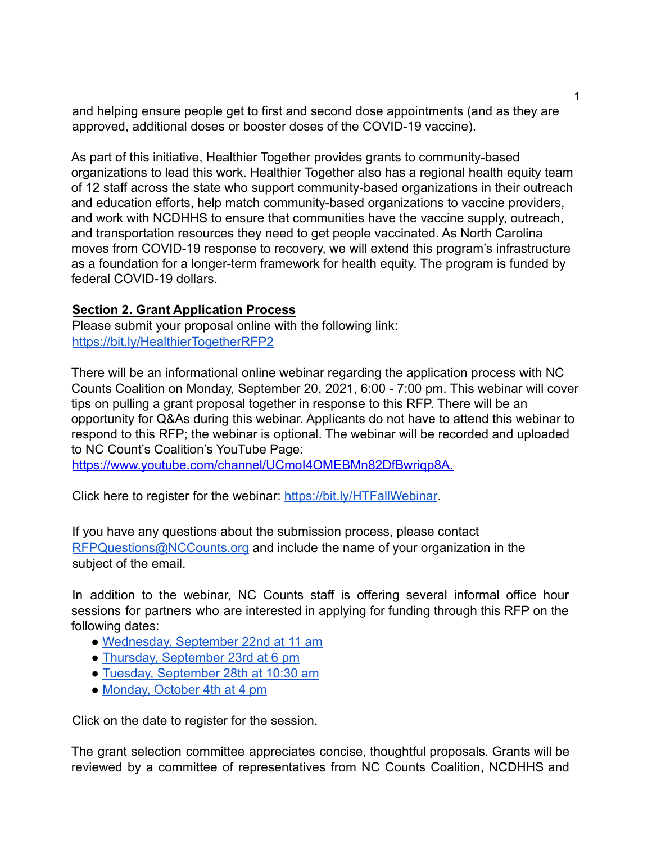and helping ensure people get to first and second dose appointments (and as they are approved, additional doses or booster doses of the COVID-19 vaccine).

As part of this initiative, Healthier Together provides grants to community-based organizations to lead this work. Healthier Together also has a regional health equity team of 12 staff across the state who support community-based organizations in their outreach and education efforts, help match community-based organizations to vaccine providers, and work with NCDHHS to ensure that communities have the vaccine supply, outreach, and transportation resources they need to get people vaccinated. As North Carolina moves from COVID-19 response to recovery, we will extend this program's infrastructure as a foundation for a longer-term framework for health equity. The program is funded by federal COVID-19 dollars.

### **Section 2. Grant Application Process**

Please submit your proposal online with the following link: https://bit.ly/HealthierTogetherRFP2

There will be an informational online webinar regarding the application process with NC Counts Coalition on Monday, September 20, 2021, 6:00 - 7:00 pm. This webinar will cover tips on pulling a grant proposal together in response to this RFP. There will be an opportunity for Q&As during this webinar. Applicants do not have to attend this webinar to respond to this RFP; the webinar is optional. The webinar will be recorded and uploaded to NC Count's Coalition's YouTube Page:

https://www.youtube.com/channel/UCmoI4OMEBMn82DfBwriqp8A.

Click here to register for the webinar: https://bit.ly/HTFallWebinar.

If you have any questions about the submission process, please contact RFPQuestions@NCCounts.org and include the name of your organization in the subject of the email.

In addition to the webinar, NC Counts staff is offering several informal office hour sessions for partners who are interested in applying for funding through this RFP on the following dates:

- Wednesday, September 22nd at 11 am
- Thursday, September 23rd at 6 pm
- Tuesday, September 28th at 10:30 am
- Monday, October 4th at 4 pm

Click on the date to register for the session.

The grant selection committee appreciates concise, thoughtful proposals. Grants will be reviewed by a committee of representatives from NC Counts Coalition, NCDHHS and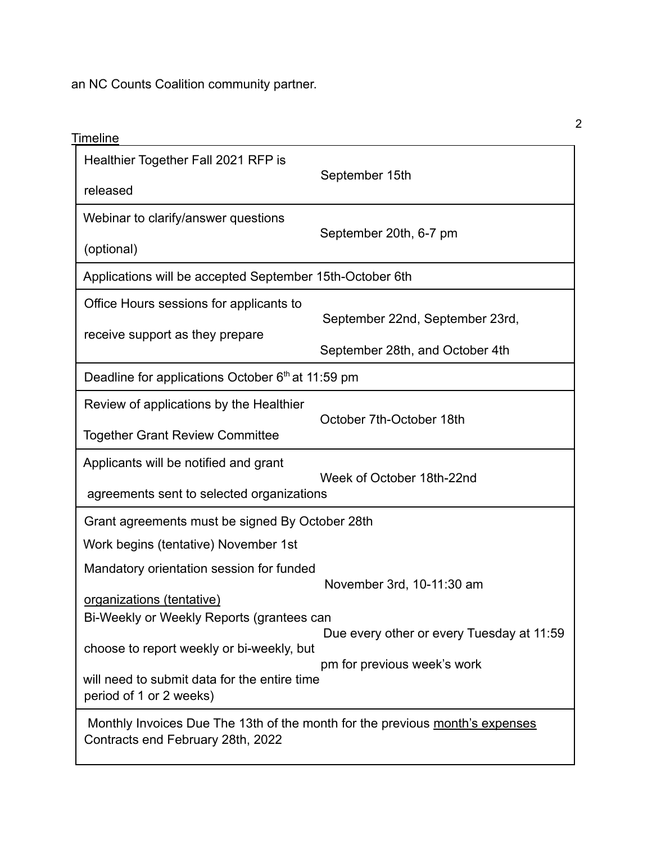an NC Counts Coalition community partner.

| <u>Timeline</u>                                                                                                   |                                           |  |
|-------------------------------------------------------------------------------------------------------------------|-------------------------------------------|--|
| Healthier Together Fall 2021 RFP is                                                                               |                                           |  |
| released                                                                                                          | September 15th                            |  |
| Webinar to clarify/answer questions                                                                               | September 20th, 6-7 pm                    |  |
| (optional)                                                                                                        |                                           |  |
| Applications will be accepted September 15th-October 6th                                                          |                                           |  |
| Office Hours sessions for applicants to                                                                           | September 22nd, September 23rd,           |  |
| receive support as they prepare                                                                                   |                                           |  |
|                                                                                                                   | September 28th, and October 4th           |  |
| Deadline for applications October 6th at 11:59 pm                                                                 |                                           |  |
| Review of applications by the Healthier                                                                           | October 7th-October 18th                  |  |
| <b>Together Grant Review Committee</b>                                                                            |                                           |  |
| Applicants will be notified and grant                                                                             | Week of October 18th-22nd                 |  |
| agreements sent to selected organizations                                                                         |                                           |  |
| Grant agreements must be signed By October 28th                                                                   |                                           |  |
| Work begins (tentative) November 1st                                                                              |                                           |  |
| Mandatory orientation session for funded                                                                          |                                           |  |
| organizations (tentative)                                                                                         | November 3rd, 10-11:30 am                 |  |
| Bi-Weekly or Weekly Reports (grantees can                                                                         |                                           |  |
|                                                                                                                   | Due every other or every Tuesday at 11:59 |  |
| choose to report weekly or bi-weekly, but                                                                         | pm for previous week's work               |  |
| will need to submit data for the entire time<br>period of 1 or 2 weeks)                                           |                                           |  |
| Monthly Invoices Due The 13th of the month for the previous month's expenses<br>Contracts end February 28th, 2022 |                                           |  |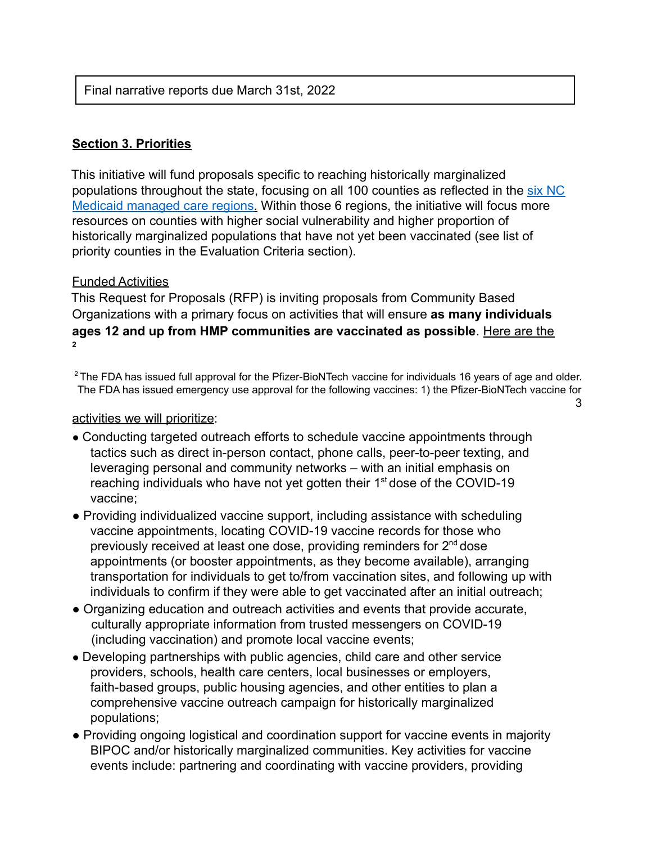# Final narrative reports due March 31st, 2022

# **Section 3. Priorities**

This initiative will fund proposals specific to reaching historically marginalized populations throughout the state, focusing on all 100 counties as reflected in the six NC Medicaid managed care regions. Within those 6 regions, the initiative will focus more resources on counties with higher social vulnerability and higher proportion of historically marginalized populations that have not yet been vaccinated (see list of priority counties in the Evaluation Criteria section).

### Funded Activities

This Request for Proposals (RFP) is inviting proposals from Community Based Organizations with a primary focus on activities that will ensure **as many individuals ages 12 and up from HMP communities are vaccinated as possible**. Here are the **2**

<sup>2</sup> The FDA has issued full approval for the Pfizer-BioNTech vaccine for individuals 16 years of age and older. The FDA has issued emergency use approval for the following vaccines: 1) the Pfizer-BioNTech vaccine for 3

activities we will prioritize:

- Conducting targeted outreach efforts to schedule vaccine appointments through tactics such as direct in-person contact, phone calls, peer-to-peer texting, and leveraging personal and community networks – with an initial emphasis on reaching individuals who have not yet gotten their 1<sup>st</sup> dose of the COVID-19 vaccine;
- Providing individualized vaccine support, including assistance with scheduling vaccine appointments, locating COVID-19 vaccine records for those who previously received at least one dose, providing reminders for 2<sup>nd</sup> dose appointments (or booster appointments, as they become available), arranging transportation for individuals to get to/from vaccination sites, and following up with individuals to confirm if they were able to get vaccinated after an initial outreach;
- Organizing education and outreach activities and events that provide accurate, culturally appropriate information from trusted messengers on COVID-19 (including vaccination) and promote local vaccine events;
- Developing partnerships with public agencies, child care and other service providers, schools, health care centers, local businesses or employers, faith-based groups, public housing agencies, and other entities to plan a comprehensive vaccine outreach campaign for historically marginalized populations;
- Providing ongoing logistical and coordination support for vaccine events in majority BIPOC and/or historically marginalized communities. Key activities for vaccine events include: partnering and coordinating with vaccine providers, providing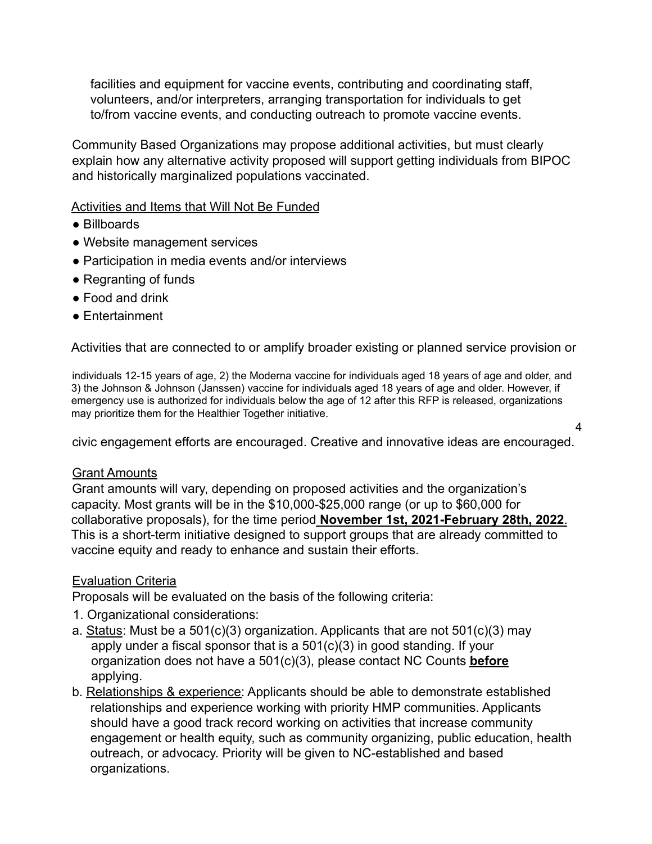facilities and equipment for vaccine events, contributing and coordinating staff, volunteers, and/or interpreters, arranging transportation for individuals to get to/from vaccine events, and conducting outreach to promote vaccine events.

Community Based Organizations may propose additional activities, but must clearly explain how any alternative activity proposed will support getting individuals from BIPOC and historically marginalized populations vaccinated.

### Activities and Items that Will Not Be Funded

- Billboards
- Website management services
- Participation in media events and/or interviews
- Regranting of funds
- Food and drink
- Entertainment

Activities that are connected to or amplify broader existing or planned service provision or

individuals 12-15 years of age, 2) the Moderna vaccine for individuals aged 18 years of age and older, and 3) the Johnson & Johnson (Janssen) vaccine for individuals aged 18 years of age and older. However, if emergency use is authorized for individuals below the age of 12 after this RFP is released, organizations may prioritize them for the Healthier Together initiative.

civic engagement efforts are encouraged. Creative and innovative ideas are encouraged.

4

#### Grant Amounts

Grant amounts will vary, depending on proposed activities and the organization's capacity. Most grants will be in the \$10,000-\$25,000 range (or up to \$60,000 for collaborative proposals), for the time period **November 1st, 2021-February 28th, 2022**. This is a short-term initiative designed to support groups that are already committed to vaccine equity and ready to enhance and sustain their efforts.

### Evaluation Criteria

Proposals will be evaluated on the basis of the following criteria:

- 1. Organizational considerations:
- a. Status: Must be a 501(c)(3) organization. Applicants that are not 501(c)(3) may apply under a fiscal sponsor that is a 501(c)(3) in good standing. If your organization does not have a 501(c)(3), please contact NC Counts **before** applying.
- b. Relationships & experience: Applicants should be able to demonstrate established relationships and experience working with priority HMP communities. Applicants should have a good track record working on activities that increase community engagement or health equity, such as community organizing, public education, health outreach, or advocacy. Priority will be given to NC-established and based organizations.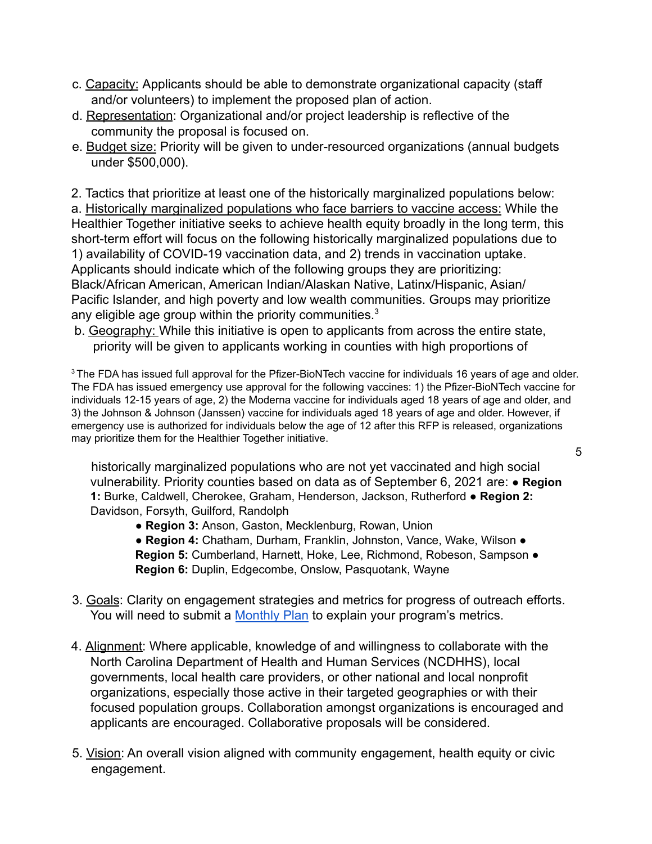- c. Capacity: Applicants should be able to demonstrate organizational capacity (staff and/or volunteers) to implement the proposed plan of action.
- d. Representation: Organizational and/or project leadership is reflective of the community the proposal is focused on.
- e. Budget size: Priority will be given to under-resourced organizations (annual budgets under \$500,000).

2. Tactics that prioritize at least one of the historically marginalized populations below: a. Historically marginalized populations who face barriers to vaccine access: While the Healthier Together initiative seeks to achieve health equity broadly in the long term, this short-term effort will focus on the following historically marginalized populations due to 1) availability of COVID-19 vaccination data, and 2) trends in vaccination uptake. Applicants should indicate which of the following groups they are prioritizing: Black/African American, American Indian/Alaskan Native, Latinx/Hispanic, Asian/ Pacific Islander, and high poverty and low wealth communities. Groups may prioritize any eligible age group within the priority communities. $3$ 

b. Geography: While this initiative is open to applicants from across the entire state, priority will be given to applicants working in counties with high proportions of

 $3$  The FDA has issued full approval for the Pfizer-BioNTech vaccine for individuals 16 years of age and older. The FDA has issued emergency use approval for the following vaccines: 1) the Pfizer-BioNTech vaccine for individuals 12-15 years of age, 2) the Moderna vaccine for individuals aged 18 years of age and older, and 3) the Johnson & Johnson (Janssen) vaccine for individuals aged 18 years of age and older. However, if emergency use is authorized for individuals below the age of 12 after this RFP is released, organizations may prioritize them for the Healthier Together initiative.

historically marginalized populations who are not yet vaccinated and high social vulnerability. Priority counties based on data as of September 6, 2021 are: ● **Region 1:** Burke, Caldwell, Cherokee, Graham, Henderson, Jackson, Rutherford ● **Region 2:** Davidson, Forsyth, Guilford, Randolph

● **Region 3:** Anson, Gaston, Mecklenburg, Rowan, Union

● **Region 4: Chatham, Durham, Franklin, Johnston, Vance, Wake, Wilson ● Region 5:** Cumberland, Harnett, Hoke, Lee, Richmond, Robeson, Sampson ● **Region 6:** Duplin, Edgecombe, Onslow, Pasquotank, Wayne

- 3. Goals: Clarity on engagement strategies and metrics for progress of outreach efforts. You will need to submit a Monthly Plan to explain your program's metrics.
- 4. Alignment: Where applicable, knowledge of and willingness to collaborate with the North Carolina Department of Health and Human Services (NCDHHS), local governments, local health care providers, or other national and local nonprofit organizations, especially those active in their targeted geographies or with their focused population groups. Collaboration amongst organizations is encouraged and applicants are encouraged. Collaborative proposals will be considered.
- 5. Vision: An overall vision aligned with community engagement, health equity or civic engagement.

5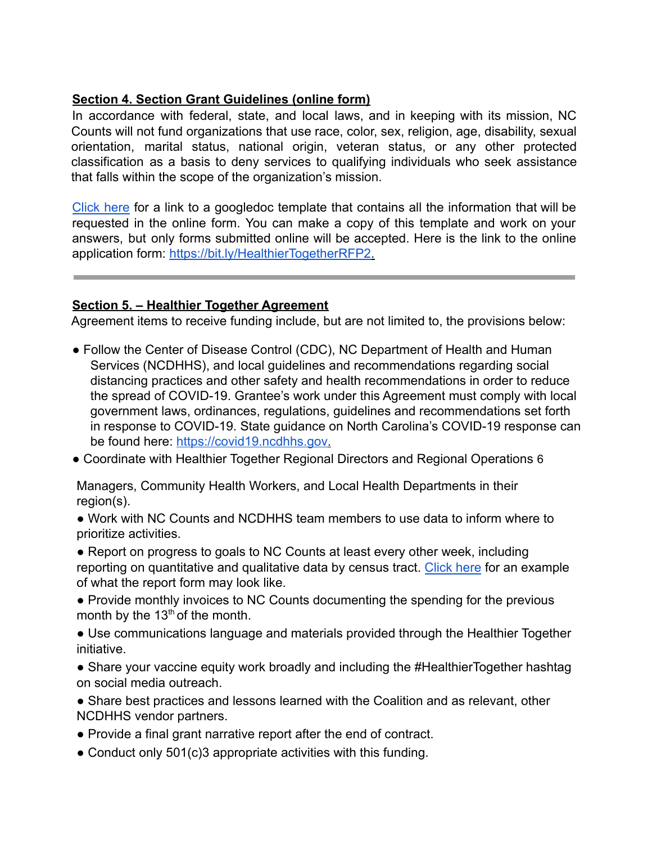### **Section 4. Section Grant Guidelines (online form)**

In accordance with federal, state, and local laws, and in keeping with its mission, NC Counts will not fund organizations that use race, color, sex, religion, age, disability, sexual orientation, marital status, national origin, veteran status, or any other protected classification as a basis to deny services to qualifying individuals who seek assistance that falls within the scope of the organization's mission.

Click here for a link to a googledoc template that contains all the information that will be requested in the online form. You can make a copy of this template and work on your answers, but only forms submitted online will be accepted. Here is the link to the online application form: https://bit.ly/HealthierTogetherRFP2.

# **Section 5. – Healthier Together Agreement**

Agreement items to receive funding include, but are not limited to, the provisions below:

- Follow the Center of Disease Control (CDC), NC Department of Health and Human Services (NCDHHS), and local guidelines and recommendations regarding social distancing practices and other safety and health recommendations in order to reduce the spread of COVID-19. Grantee's work under this Agreement must comply with local government laws, ordinances, regulations, guidelines and recommendations set forth in response to COVID-19. State guidance on North Carolina's COVID-19 response can be found here: https://covid19.ncdhhs.gov.
- Coordinate with Healthier Together Regional Directors and Regional Operations 6

Managers, Community Health Workers, and Local Health Departments in their region(s).

● Work with NC Counts and NCDHHS team members to use data to inform where to prioritize activities.

• Report on progress to goals to NC Counts at least every other week, including reporting on quantitative and qualitative data by census tract. Click here for an example of what the report form may look like.

● Provide monthly invoices to NC Counts documenting the spending for the previous month by the 13<sup>th</sup> of the month.

• Use communications language and materials provided through the Healthier Together initiative.

• Share your vaccine equity work broadly and including the #HealthierTogether hashtag on social media outreach.

• Share best practices and lessons learned with the Coalition and as relevant, other NCDHHS vendor partners.

- Provide a final grant narrative report after the end of contract.
- Conduct only 501(c)3 appropriate activities with this funding.